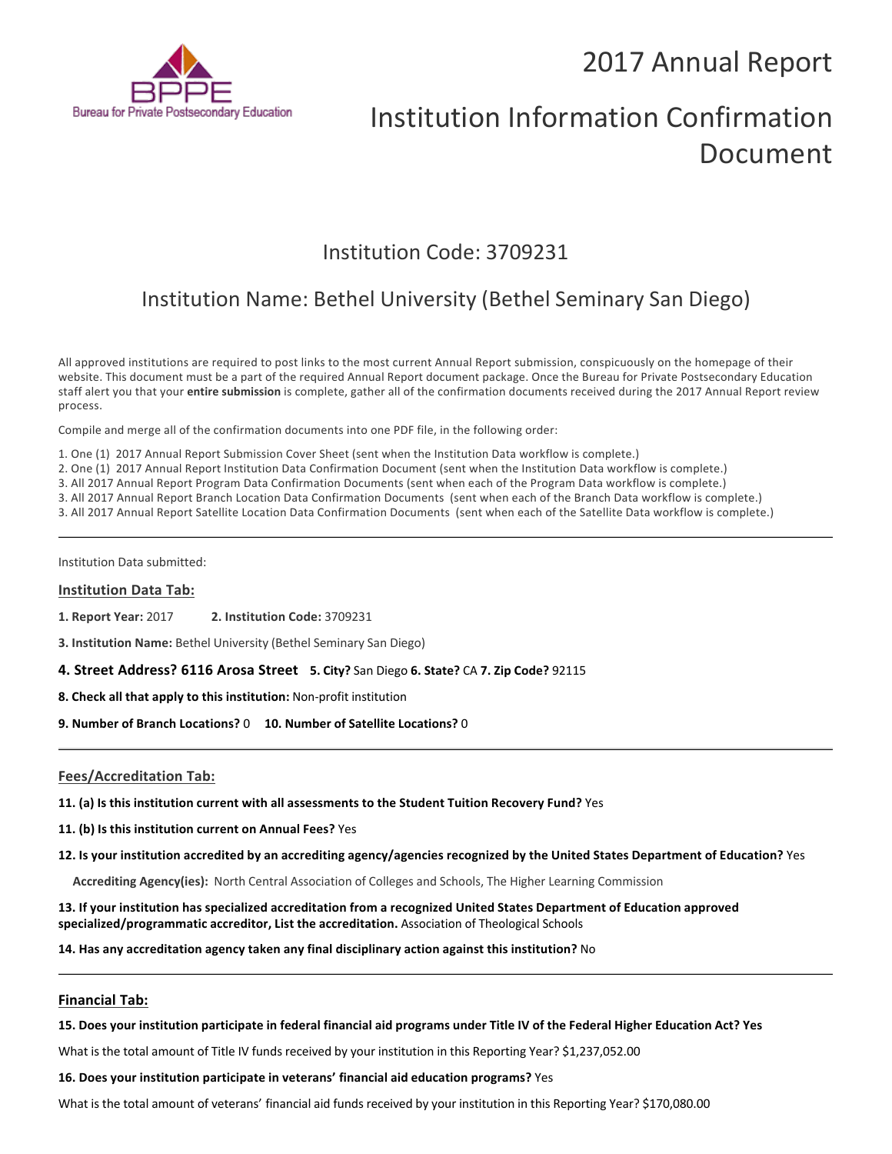## 2017 Annual Report



# Institution Information Confirmation Document

### Institution Code: 3709231

## Institution Name: Bethel University (Bethel Seminary San Diego)

All approved institutions are required to post links to the most current Annual Report submission, conspicuously on the homepage of their website. This document must be a part of the required Annual Report document package. Once the Bureau for Private Postsecondary Education staff alert you that your **entire submission** is complete, gather all of the confirmation documents received during the 2017 Annual Report review process.

Compile and merge all of the confirmation documents into one PDF file, in the following order:

1. One (1) 2017 Annual Report Submission Cover Sheet (sent when the Institution Data workflow is complete.)

2. One (1) 2017 Annual Report Institution Data Confirmation Document (sent when the Institution Data workflow is complete.)

3. All 2017 Annual Report Program Data Confirmation Documents (sent when each of the Program Data workflow is complete.)

3. All 2017 Annual Report Branch Location Data Confirmation Documents (sent when each of the Branch Data workflow is complete.)

3. All 2017 Annual Report Satellite Location Data Confirmation Documents (sent when each of the Satellite Data workflow is complete.)

Institution Data submitted:

#### **Institution Data Tab:**

**1. Report Year:** 2017 **2. Institution Code:** <sup>3709231</sup>

**3. Institution Name:** Bethel University (Bethel Seminary San Diego)

**4. Street Address? 6116 Arosa Street 5. City?** San Diego **6. State?** CA **7. Zip Code?** 92115

**8. Check all that apply to this institution:** Non-profit institution

**9. Number of Branch Locations?** 0 **10. Number of Satellite Locations?** <sup>0</sup>

#### **Fees/Accreditation Tab:**

**11. (a) Is this institution current with all assessments to the Student Tuition Recovery Fund?** Yes

**11. (b) Is this institution current on Annual Fees?** Yes

**12. Is your institution accredited by an accrediting agency/agencies recognized by the United States Department of Education?** Yes

**Accrediting Agency(ies):** North Central Association of Colleges and Schools, The Higher Learning Commission

**13. If your institution has specialized accreditation from a recognized United States Department of Education approved specialized/programmatic accreditor, List the accreditation.** Association of Theological Schools

**14. Has any accreditation agency taken any final disciplinary action against this institution?** No

#### **Financial Tab:**

**15. Does your institution participate in federal financial aid programs under Title IV of the Federal Higher Education Act? Yes**

What is the total amount of Title IV funds received by your institution in this Reporting Year? \$1,237,052.00

#### **16. Does your institution participate in veterans' financial aid education programs?** Yes

What is the total amount of veterans' financial aid funds received by your institution in this Reporting Year? \$170,080.00